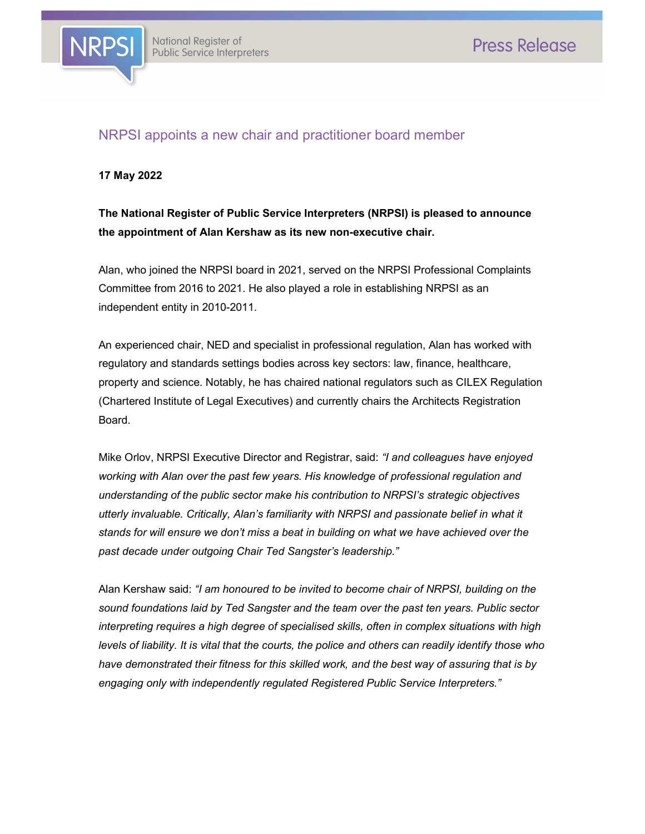

## NRPSI appoints a new chair and practitioner board member

17 May 2022

# The National Register of Public Service Interpreters (NRPSI) is pleased to announce the appointment of Alan Kershaw as its new non-executive chair.

Alan, who joined the NRPSI board in 2021, served on the NRPSI Professional Complaints Committee from 2016 to 2021. He also played a role in establishing NRPSI as an independent entity in 2010-2011.

An experienced chair, NED and specialist in professional regulation, Alan has worked with regulatory and standards settings bodies across key sectors: law, finance, healthcare, property and science. Notably, he has chaired national regulators such as CILEX Regulation (Chartered Institute of Legal Executives) and currently chairs the Architects Registration Board.

Mike Orlov, NRPSI Executive Director and Registrar, said: "I and colleagues have enjoyed working with Alan over the past few years. His knowledge of professional regulation and understanding of the public sector make his contribution to NRPSI's strategic objectives utterly invaluable. Critically, Alan's familiarity with NRPSI and passionate belief in what it stands for will ensure we don't miss a beat in building on what we have achieved over the past decade under outgoing Chair Ted Sangster's leadership."

Alan Kershaw said: "I am honoured to be invited to become chair of NRPSI, building on the sound foundations laid by Ted Sangster and the team over the past ten years. Public sector interpreting requires a high degree of specialised skills, often in complex situations with high levels of liability. It is vital that the courts, the police and others can readily identify those who have demonstrated their fitness for this skilled work, and the best way of assuring that is by engaging only with independently regulated Registered Public Service Interpreters."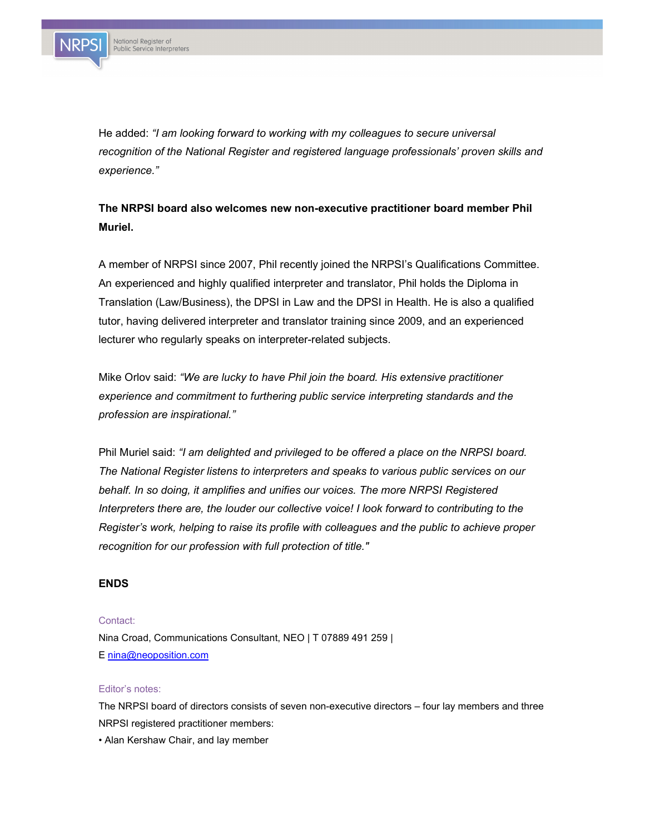

He added: "I am looking forward to working with my colleagues to secure universal recognition of the National Register and registered language professionals' proven skills and experience."

# The NRPSI board also welcomes new non-executive practitioner board member Phil Muriel.

A member of NRPSI since 2007, Phil recently joined the NRPSI's Qualifications Committee. An experienced and highly qualified interpreter and translator, Phil holds the Diploma in Translation (Law/Business), the DPSI in Law and the DPSI in Health. He is also a qualified tutor, having delivered interpreter and translator training since 2009, and an experienced lecturer who regularly speaks on interpreter-related subjects.

Mike Orlov said: "We are lucky to have Phil join the board. His extensive practitioner experience and commitment to furthering public service interpreting standards and the profession are inspirational."

Phil Muriel said: "I am delighted and privileged to be offered a place on the NRPSI board. The National Register listens to interpreters and speaks to various public services on our behalf. In so doing, it amplifies and unifies our voices. The more NRPSI Registered Interpreters there are, the louder our collective voice! I look forward to contributing to the Register's work, helping to raise its profile with colleagues and the public to achieve proper recognition for our profession with full protection of title."

### ENDS

### Contact:

Nina Croad, Communications Consultant, NEO | T 07889 491 259 | E nina@neoposition.com

#### Editor's notes:

The NRPSI board of directors consists of seven non-executive directors – four lay members and three NRPSI registered practitioner members:

• Alan Kershaw Chair, and lay member